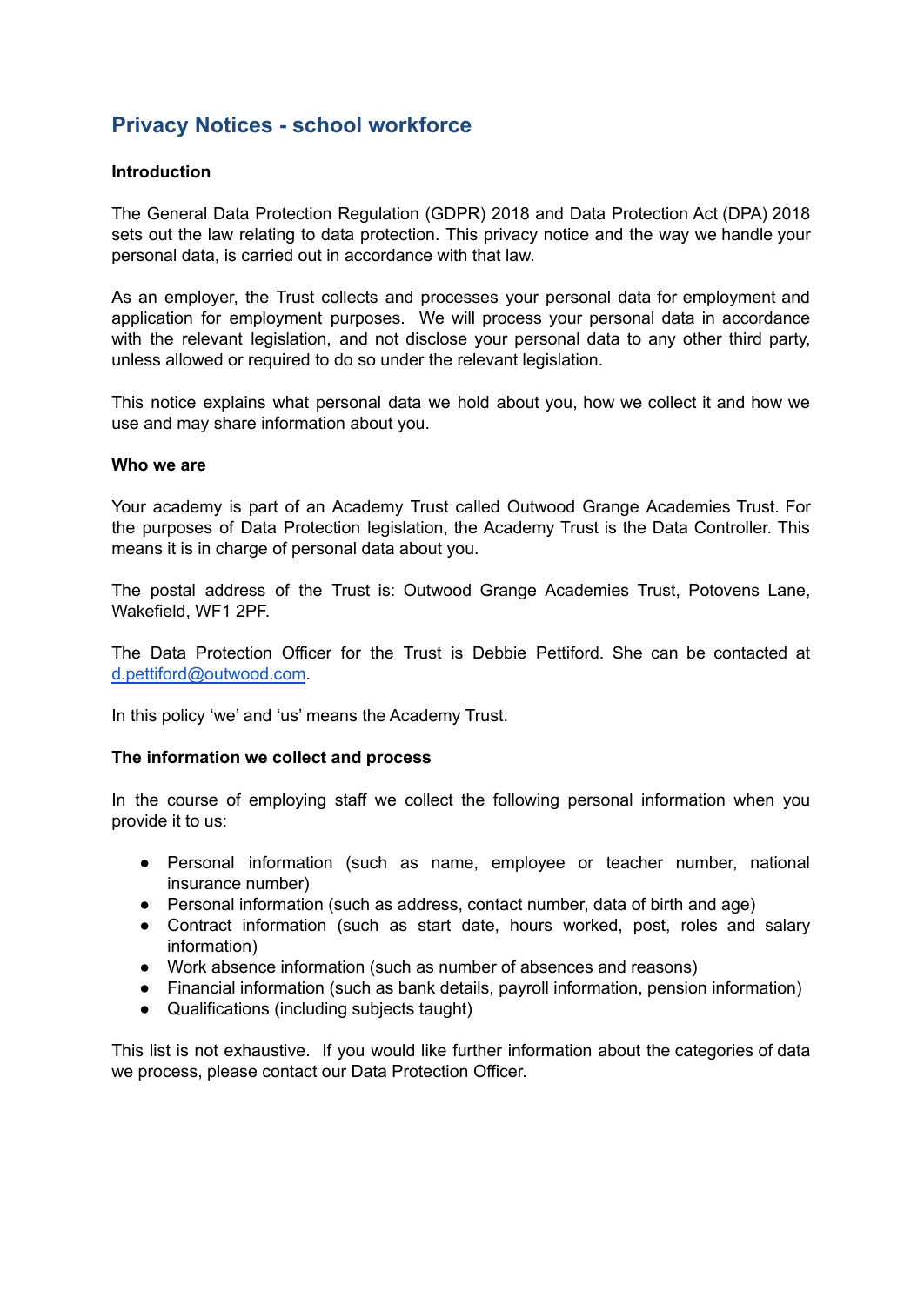# **Privacy Notices - school workforce**

# **Introduction**

The General Data Protection Regulation (GDPR) 2018 and Data Protection Act (DPA) 2018 sets out the law relating to data protection. This privacy notice and the way we handle your personal data, is carried out in accordance with that law.

As an employer, the Trust collects and processes your personal data for employment and application for employment purposes. We will process your personal data in accordance with the relevant legislation, and not disclose your personal data to any other third party, unless allowed or required to do so under the relevant legislation.

This notice explains what personal data we hold about you, how we collect it and how we use and may share information about you.

#### **Who we are**

Your academy is part of an Academy Trust called Outwood Grange Academies Trust. For the purposes of Data Protection legislation, the Academy Trust is the Data Controller. This means it is in charge of personal data about you.

The postal address of the Trust is: Outwood Grange Academies Trust, Potovens Lane, Wakefield, WF1 2PF.

The Data Protection Officer for the Trust is Debbie Pettiford. She can be contacted at [d.pettiford@outwood.com](mailto:d.pettiford@outwood.com).

In this policy 'we' and 'us' means the Academy Trust.

#### **The information we collect and process**

In the course of employing staff we collect the following personal information when you provide it to us:

- Personal information (such as name, employee or teacher number, national insurance number)
- Personal information (such as address, contact number, data of birth and age)
- Contract information (such as start date, hours worked, post, roles and salary information)
- Work absence information (such as number of absences and reasons)
- Financial information (such as bank details, payroll information, pension information)
- Qualifications (including subjects taught)

This list is not exhaustive. If you would like further information about the categories of data we process, please contact our Data Protection Officer.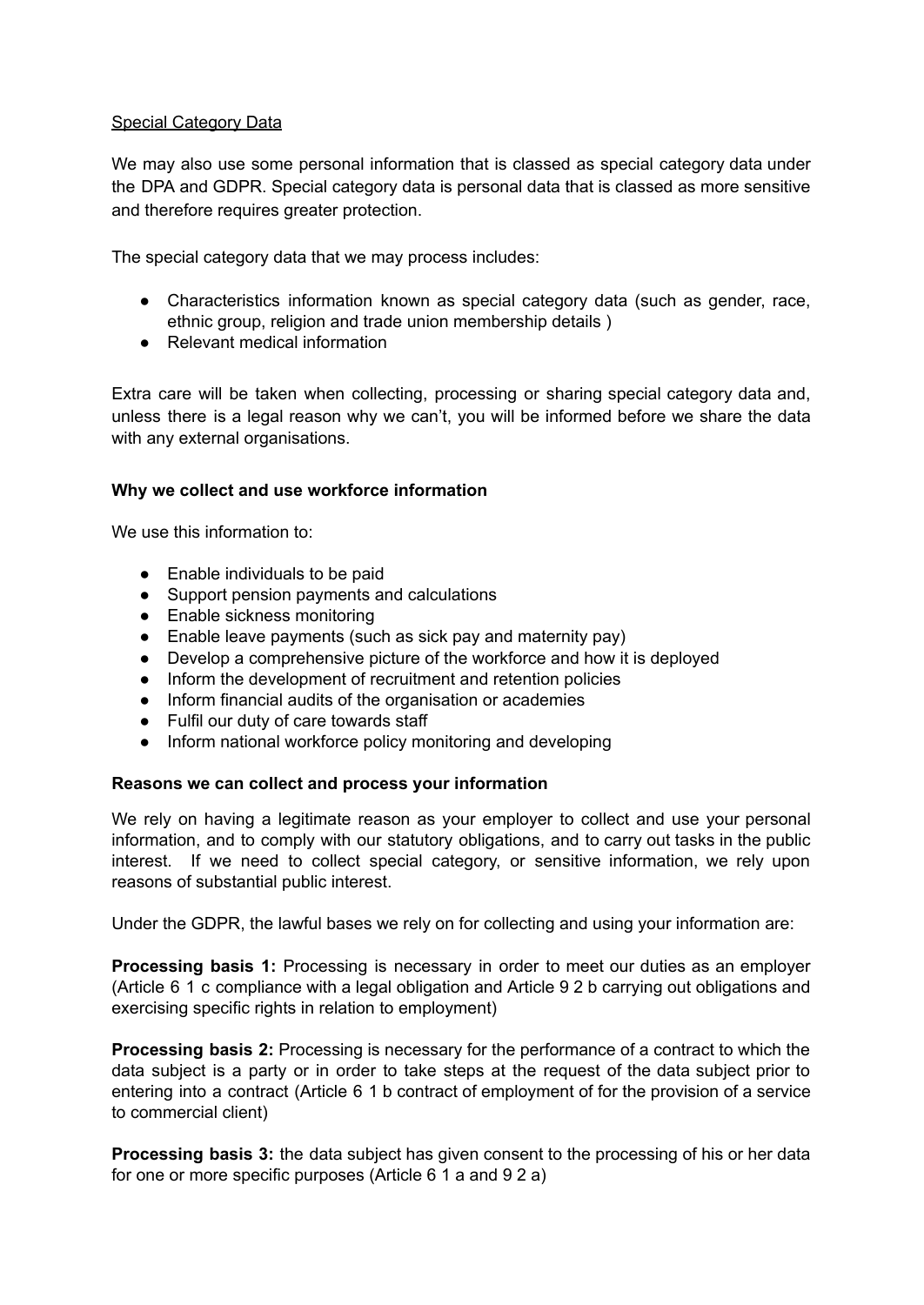# Special Category Data

We may also use some personal information that is classed as special category data under the DPA and GDPR. Special category data is personal data that is classed as more sensitive and therefore requires greater protection.

The special category data that we may process includes:

- Characteristics information known as special category data (such as gender, race, ethnic group, religion and trade union membership details )
- Relevant medical information

Extra care will be taken when collecting, processing or sharing special category data and, unless there is a legal reason why we can't, you will be informed before we share the data with any external organisations.

# **Why we collect and use workforce information**

We use this information to:

- Enable individuals to be paid
- Support pension payments and calculations
- Enable sickness monitoring
- Enable leave payments (such as sick pay and maternity pay)
- Develop a comprehensive picture of the workforce and how it is deployed
- Inform the development of recruitment and retention policies
- Inform financial audits of the organisation or academies
- Fulfil our duty of care towards staff
- Inform national workforce policy monitoring and developing

# **Reasons we can collect and process your information**

We rely on having a legitimate reason as your employer to collect and use your personal information, and to comply with our statutory obligations, and to carry out tasks in the public interest. If we need to collect special category, or sensitive information, we rely upon reasons of substantial public interest.

Under the GDPR, the lawful bases we rely on for collecting and using your information are:

**Processing basis 1:** Processing is necessary in order to meet our duties as an employer (Article 6 1 c compliance with a legal obligation and Article 9 2 b carrying out obligations and exercising specific rights in relation to employment)

**Processing basis 2:** Processing is necessary for the performance of a contract to which the data subject is a party or in order to take steps at the request of the data subject prior to entering into a contract (Article 6 1 b contract of employment of for the provision of a service to commercial client)

**Processing basis 3:** the data subject has given consent to the processing of his or her data for one or more specific purposes (Article 6 1 a and 9 2 a)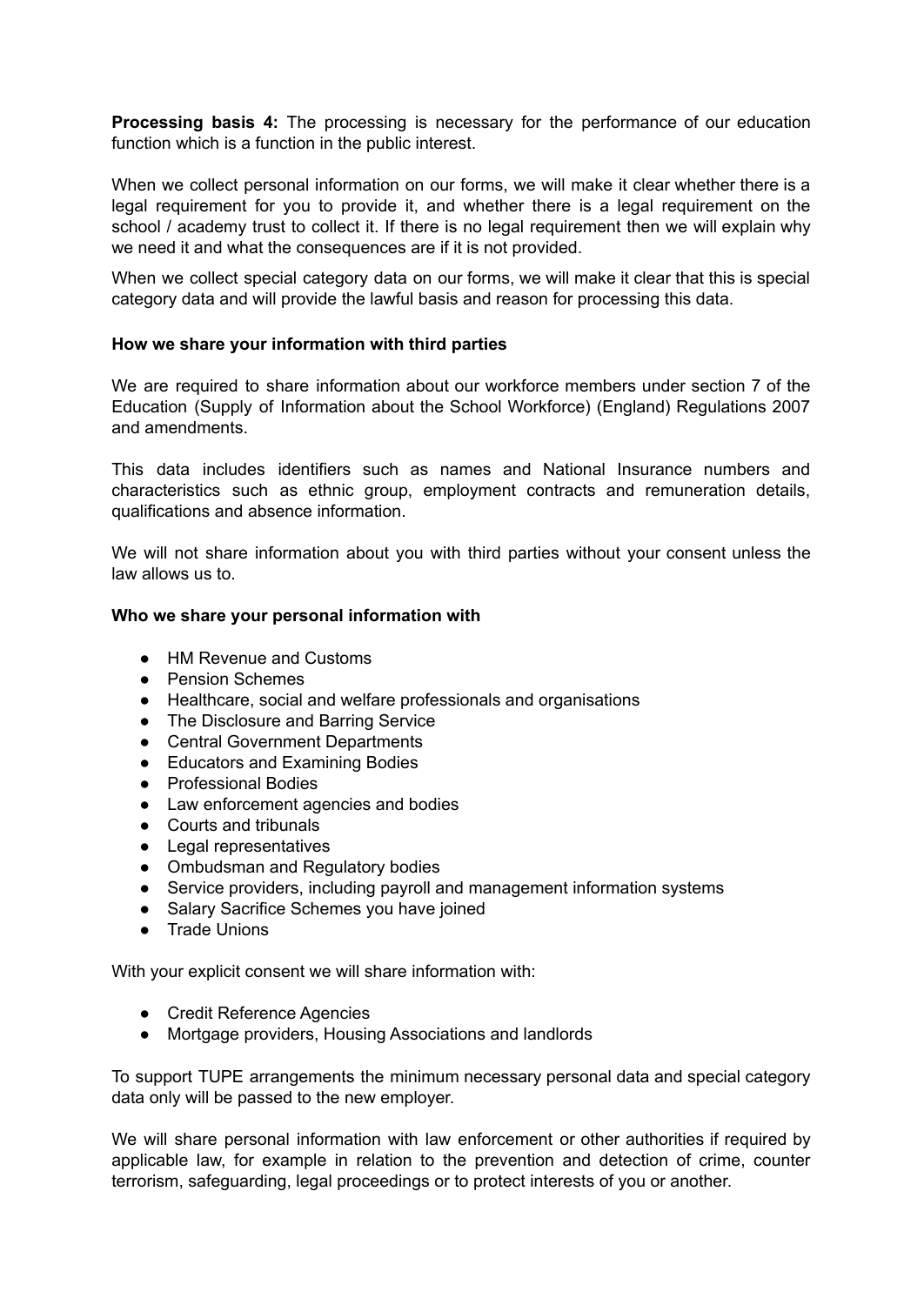**Processing basis 4:** The processing is necessary for the performance of our education function which is a function in the public interest.

When we collect personal information on our forms, we will make it clear whether there is a legal requirement for you to provide it, and whether there is a legal requirement on the school / academy trust to collect it. If there is no legal requirement then we will explain why we need it and what the consequences are if it is not provided.

When we collect special category data on our forms, we will make it clear that this is special category data and will provide the lawful basis and reason for processing this data.

## **How we share your information with third parties**

We are required to share information about our workforce members under section 7 of the Education (Supply of Information about the School Workforce) (England) Regulations 2007 and amendments.

This data includes identifiers such as names and National Insurance numbers and characteristics such as ethnic group, employment contracts and remuneration details, qualifications and absence information.

We will not share information about you with third parties without your consent unless the law allows us to.

## **Who we share your personal information with**

- HM Revenue and Customs
- Pension Schemes
- Healthcare, social and welfare professionals and organisations
- The Disclosure and Barring Service
- Central Government Departments
- Educators and Examining Bodies
- Professional Bodies
- Law enforcement agencies and bodies
- Courts and tribunals
- Legal representatives
- Ombudsman and Regulatory bodies
- Service providers, including payroll and management information systems
- Salary Sacrifice Schemes you have joined
- Trade Unions

With your explicit consent we will share information with:

- Credit Reference Agencies
- Mortgage providers, Housing Associations and landlords

To support TUPE arrangements the minimum necessary personal data and special category data only will be passed to the new employer.

We will share personal information with law enforcement or other authorities if required by applicable law, for example in relation to the prevention and detection of crime, counter terrorism, safeguarding, legal proceedings or to protect interests of you or another.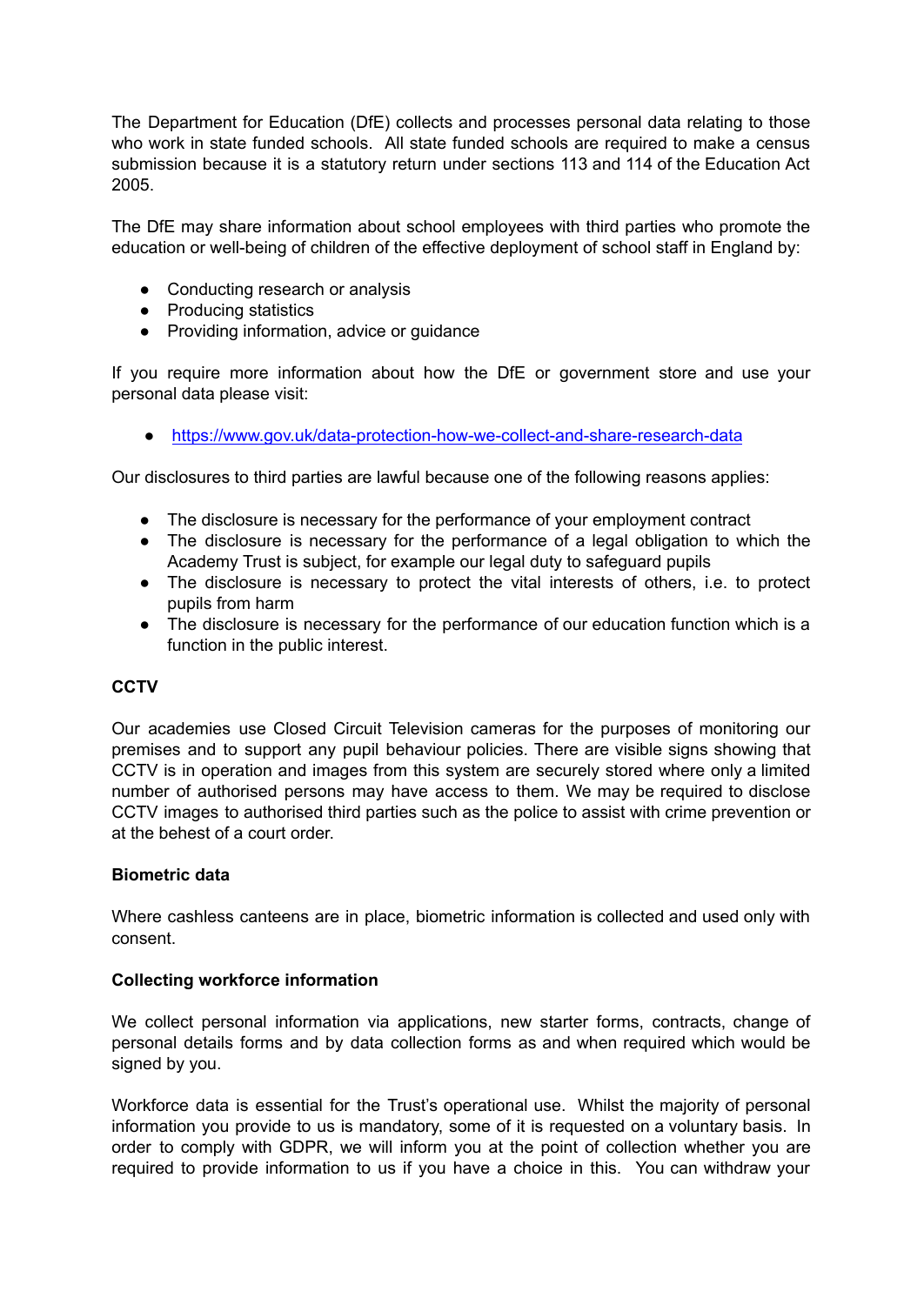The Department for Education (DfE) collects and processes personal data relating to those who work in state funded schools. All state funded schools are required to make a census submission because it is a statutory return under sections 113 and 114 of the Education Act 2005.

The DfE may share information about school employees with third parties who promote the education or well-being of children of the effective deployment of school staff in England by:

- Conducting research or analysis
- Producing statistics
- Providing information, advice or quidance

If you require more information about how the DfE or government store and use your personal data please visit:

● <https://www.gov.uk/data-protection-how-we-collect-and-share-research-data>

Our disclosures to third parties are lawful because one of the following reasons applies:

- The disclosure is necessary for the performance of your employment contract
- The disclosure is necessary for the performance of a legal obligation to which the Academy Trust is subject, for example our legal duty to safeguard pupils
- The disclosure is necessary to protect the vital interests of others, i.e. to protect pupils from harm
- The disclosure is necessary for the performance of our education function which is a function in the public interest.

# **CCTV**

Our academies use Closed Circuit Television cameras for the purposes of monitoring our premises and to support any pupil behaviour policies. There are visible signs showing that CCTV is in operation and images from this system are securely stored where only a limited number of authorised persons may have access to them. We may be required to disclose CCTV images to authorised third parties such as the police to assist with crime prevention or at the behest of a court order.

# **Biometric data**

Where cashless canteens are in place, biometric information is collected and used only with consent.

# **Collecting workforce information**

We collect personal information via applications, new starter forms, contracts, change of personal details forms and by data collection forms as and when required which would be signed by you.

Workforce data is essential for the Trust's operational use. Whilst the majority of personal information you provide to us is mandatory, some of it is requested on a voluntary basis. In order to comply with GDPR, we will inform you at the point of collection whether you are required to provide information to us if you have a choice in this. You can withdraw your